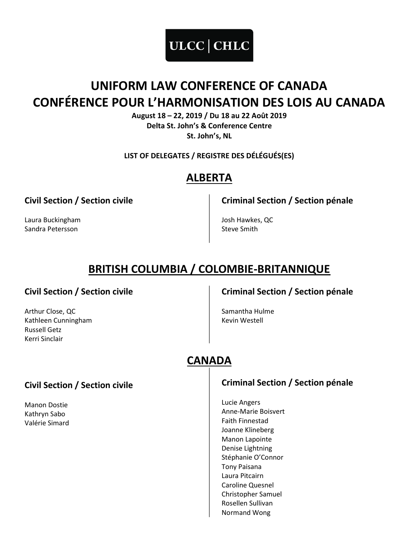

# UNIFORM LAW CONFERENCE OF CANADA CONFÉRENCE POUR L'HARMONISATION DES LOIS AU CANADA

August 18 – 22, 2019 / Du 18 au 22 Août 2019 Delta St. John's & Conference Centre St. John's, NL

LIST OF DELEGATES / REGISTRE DES DÉLÉGUÉS(ES)

## ALBERTA

Civil Section / Section civile

Laura Buckingham Sandra Petersson

Criminal Section / Section pénale

Josh Hawkes, QC Steve Smith

# BRITISH COLUMBIA / COLOMBIE-BRITANNIQUE

#### Civil Section / Section civile

Arthur Close, QC Kathleen Cunningham Russell Getz Kerri Sinclair

Criminal Section / Section pénale

Samantha Hulme Kevin Westell

# CANADA

### Civil Section / Section civile

Manon Dostie Kathryn Sabo Valérie Simard

### Criminal Section / Section pénale

Lucie Angers Anne-Marie Boisvert Faith Finnestad Joanne Klineberg Manon Lapointe Denise Lightning Stéphanie O'Connor Tony Paisana Laura Pitcairn Caroline Quesnel Christopher Samuel Rosellen Sullivan Normand Wong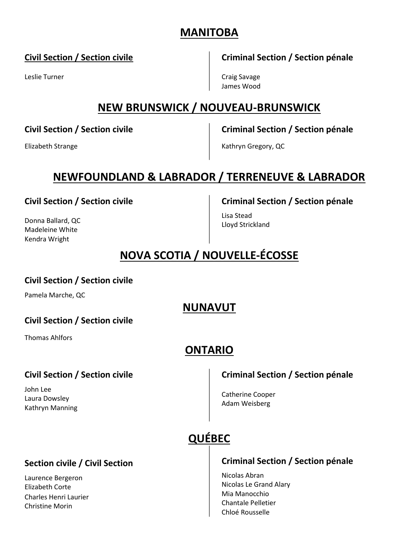### MANITOBA

#### Civil Section / Section civile

Leslie Turner

Criminal Section / Section pénale

Craig Savage James Wood

## NEW BRUNSWICK / NOUVEAU-BRUNSWICK

Civil Section / Section civile

Criminal Section / Section pénale

Kathryn Gregory, QC

# NEWFOUNDLAND & LABRADOR / TERRENEUVE & LABRADOR

Civil Section / Section civile

Donna Ballard, QC Madeleine White Kendra Wright

Elizabeth Strange

Criminal Section / Section pénale

Lisa Stead Lloyd Strickland

# NOVA SCOTIA / NOUVELLE-ÉCOSSE

#### Civil Section / Section civile

Pamela Marche, QC

### NUNAVUT

#### Civil Section / Section civile

Thomas Ahlfors

## ONTARIO

### Civil Section / Section civile

John Lee Laura Dowsley Kathryn Manning

### Criminal Section / Section pénale

Catherine Cooper Adam Weisberg

# QUÉBEC

### Section civile / Civil Section

Laurence Bergeron Elizabeth Corte Charles Henri Laurier Christine Morin

#### Criminal Section / Section pénale

Nicolas Abran Nicolas Le Grand Alary Mia Manocchio Chantale Pelletier Chloé Rousselle